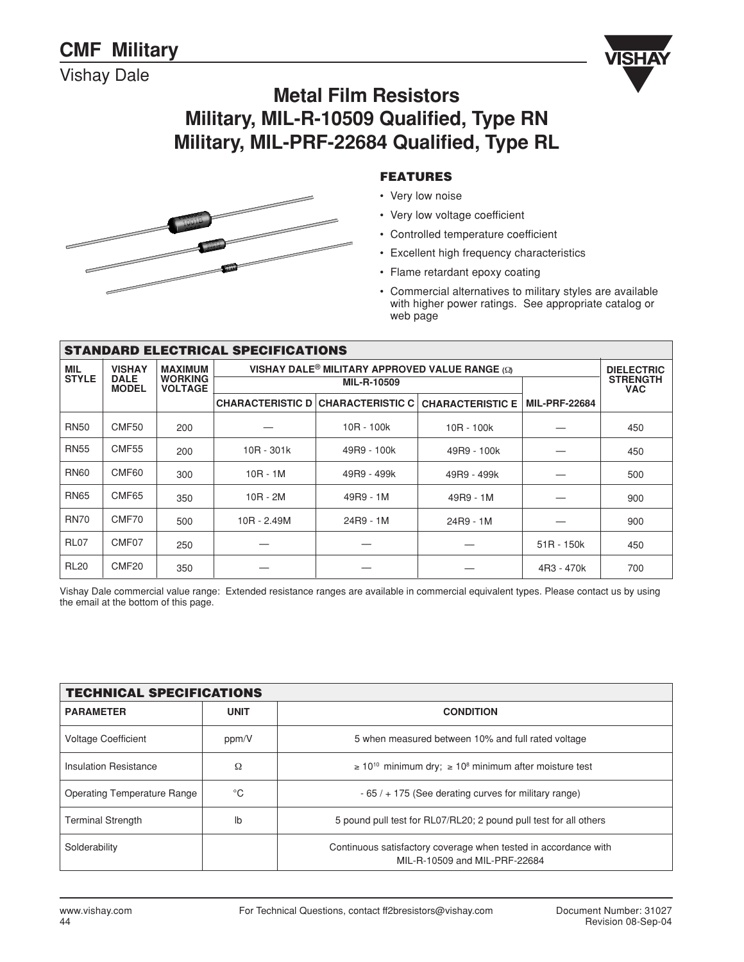Vishay Dale





#### **FEATURES**

- Very low noise
- Very low voltage coefficient
- Controlled temperature coefficient
- Excellent high frequency characteristics
- Flame retardant epoxy coating
- Commercial alternatives to military styles are available with higher power ratings. See appropriate catalog or web page

|              | <b>STANDARD ELECTRICAL SPECIFICATIONS</b> |                                  |                                          |                      |             |              |     |  |  |  |
|--------------|-------------------------------------------|----------------------------------|------------------------------------------|----------------------|-------------|--------------|-----|--|--|--|
| <b>MIL</b>   | <b>VISHAY</b>                             |                                  | <b>DIELECTRIC</b>                        |                      |             |              |     |  |  |  |
| <b>STYLE</b> | <b>DALE</b><br><b>MODEL</b>               | <b>WORKING</b><br><b>VOLTAGE</b> |                                          | MIL-R-10509          |             |              |     |  |  |  |
|              |                                           |                                  | <b>CHARACTERISTIC D CHARACTERISTIC C</b> | <b>MIL-PRF-22684</b> |             |              |     |  |  |  |
| <b>RN50</b>  | CMF50                                     | 200                              |                                          | $10R - 100k$         | 10R - 100k  |              | 450 |  |  |  |
| <b>RN55</b>  | CMF <sub>55</sub>                         | 200                              | $10R - 301k$                             | 49R9 - 100k          | 49R9 - 100k |              | 450 |  |  |  |
| <b>RN60</b>  | CMF60                                     | 300                              | $10R - 1M$                               | 49R9 - 499k          | 49R9 - 499k |              | 500 |  |  |  |
| <b>RN65</b>  | CMF65                                     | 350                              | $10R - 2M$                               | 49R9 - 1M            | 49R9 - 1M   |              | 900 |  |  |  |
| <b>RN70</b>  | CMF70                                     | 500                              | 10R - 2.49M                              | 24R9 - 1M            | 24R9 - 1M   |              | 900 |  |  |  |
| <b>RL07</b>  | CMF <sub>07</sub>                         | 250                              |                                          |                      |             | $51R - 150k$ | 450 |  |  |  |
| <b>RL20</b>  | CMF <sub>20</sub>                         | 350                              |                                          |                      |             | 4R3 - 470k   | 700 |  |  |  |

Vishay Dale commercial value range: Extended resistance ranges are available in commercial equivalent types. Please contact us by using the email at the bottom of this page.

| <b>TECHNICAL SPECIFICATIONS</b>    |             |                                                                                                  |  |  |  |  |
|------------------------------------|-------------|--------------------------------------------------------------------------------------------------|--|--|--|--|
| <b>PARAMETER</b>                   | <b>UNIT</b> | <b>CONDITION</b>                                                                                 |  |  |  |  |
| <b>Voltage Coefficient</b>         | ppm/V       | 5 when measured between 10% and full rated voltage                                               |  |  |  |  |
| Insulation Resistance              | Ω           | $\geq 10^{10}$ minimum dry; $\geq 10^{8}$ minimum after moisture test                            |  |  |  |  |
| <b>Operating Temperature Range</b> | °C          | $-65/$ + 175 (See derating curves for military range)                                            |  |  |  |  |
| <b>Terminal Strength</b>           | lb          | 5 pound pull test for RL07/RL20; 2 pound pull test for all others                                |  |  |  |  |
| Solderability                      |             | Continuous satisfactory coverage when tested in accordance with<br>MIL-R-10509 and MIL-PRF-22684 |  |  |  |  |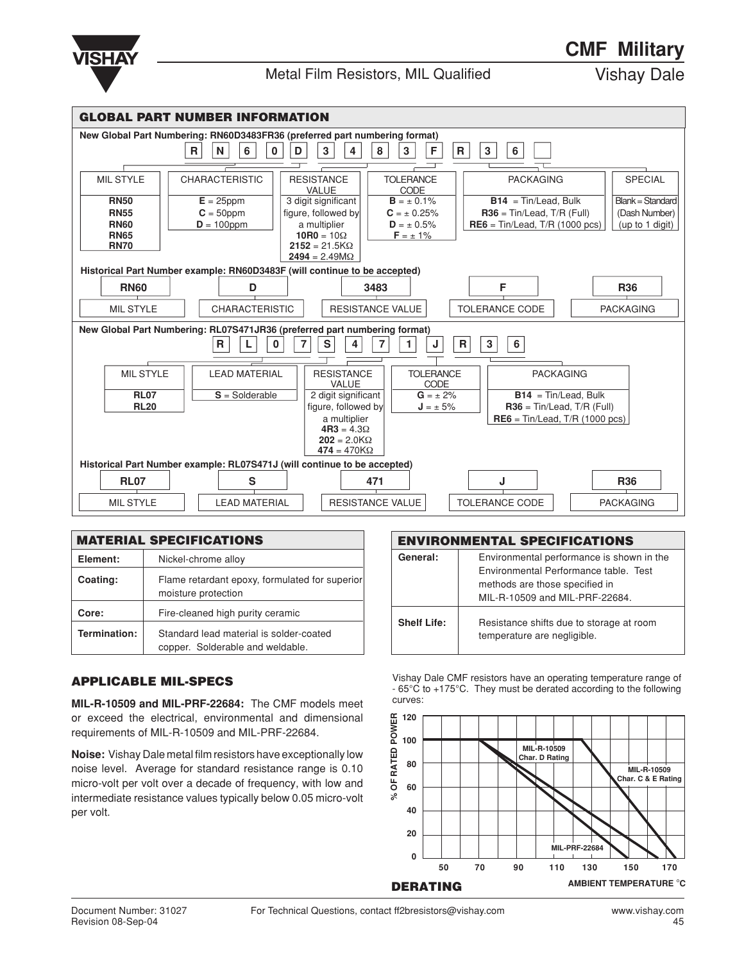

| <b>GLOBAL PART NUMBER INFORMATION</b>                                      |                            |   |                                                                           |        |                                           |      |                                 |    |                                   |                  |
|----------------------------------------------------------------------------|----------------------------|---|---------------------------------------------------------------------------|--------|-------------------------------------------|------|---------------------------------|----|-----------------------------------|------------------|
| New Global Part Numbering: RN60D3483FR36 (preferred part numbering format) |                            |   |                                                                           |        |                                           |      |                                 |    |                                   |                  |
|                                                                            |                            | R | 6<br>N                                                                    | 0<br>D | 3<br>4                                    | 8    | F<br>3                          | R. | 3<br>6                            |                  |
|                                                                            |                            |   |                                                                           |        |                                           |      |                                 |    |                                   |                  |
|                                                                            | <b>MIL STYLE</b>           |   | <b>CHARACTERISTIC</b>                                                     |        | <b>RESISTANCE</b><br>VALUE                |      | <b>TOLERANCE</b><br>CODE        |    | <b>PACKAGING</b>                  | <b>SPECIAL</b>   |
|                                                                            | <b>RN50</b>                |   | $E = 25$ ppm                                                              |        | 3 digit significant                       |      | $B = \pm 0.1\%$                 |    | $B14 = Tin/lead, Bulk$            | Blank = Standard |
|                                                                            | <b>RN55</b>                |   | $C = 50$ ppm                                                              |        | figure, followed by                       |      | $C = \pm 0.25\%$                |    | $R36 = Tin/lead, T/R$ (Full)      | (Dash Number)    |
|                                                                            | <b>RN60</b><br><b>RN65</b> |   | $D = 100$ ppm                                                             |        | a multiplier<br>$10R0 = 10\Omega$         |      | $D = \pm 0.5\%$                 |    | $RE6 = Tin/lead, T/R (1000 pcs)$  | (up to 1 digit)  |
|                                                                            | <b>RN70</b>                |   |                                                                           |        | $2152 = 21.5K\Omega$                      |      | $F = \pm 1\%$                   |    |                                   |                  |
|                                                                            |                            |   |                                                                           |        | $2494 = 2.49 M\Omega$                     |      |                                 |    |                                   |                  |
|                                                                            |                            |   | Historical Part Number example: RN60D3483F (will continue to be accepted) |        |                                           |      |                                 |    |                                   |                  |
|                                                                            | <b>RN60</b>                |   | D                                                                         |        |                                           | 3483 |                                 |    | F                                 | <b>R36</b>       |
|                                                                            | <b>MIL STYLE</b>           |   | <b>CHARACTERISTIC</b>                                                     |        |                                           |      | <b>RESISTANCE VALUE</b>         |    | <b>TOLERANCE CODE</b>             | <b>PACKAGING</b> |
|                                                                            |                            |   | New Global Part Numbering: RL07S471JR36 (preferred part numbering format) |        |                                           |      |                                 |    |                                   |                  |
|                                                                            |                            |   | R.                                                                        | 0      | s<br>4                                    | 7    | J                               | R  | 6<br>3                            |                  |
|                                                                            |                            |   |                                                                           |        |                                           |      |                                 |    |                                   |                  |
|                                                                            | <b>MIL STYLE</b>           |   | <b>LEAD MATERIAL</b>                                                      |        | <b>RESISTANCE</b><br><b>VALUE</b>         |      | <b>TOLERANCE</b><br><b>CODE</b> |    | <b>PACKAGING</b>                  |                  |
|                                                                            | <b>RL07</b>                |   | $S = S$ olderable                                                         |        | 2 digit significant                       |      | $G = \pm 2\%$                   |    | $B14 = Tin/lead$ , Bulk           |                  |
|                                                                            | <b>RL20</b>                |   |                                                                           |        | figure, followed by                       |      | $J = \pm 5\%$                   |    | $R36 = Tin/lead, T/R$ (Full)      |                  |
|                                                                            |                            |   |                                                                           |        | a multiplier                              |      |                                 |    | $RE6 = Tin/lead$ , T/R (1000 pcs) |                  |
|                                                                            |                            |   |                                                                           |        | $4R3 = 4.3\Omega$                         |      |                                 |    |                                   |                  |
|                                                                            |                            |   |                                                                           |        | $202 = 2.0 K\Omega$<br>$474 = 470K\Omega$ |      |                                 |    |                                   |                  |
| Historical Part Number example: RL07S471J (will continue to be accepted)   |                            |   |                                                                           |        |                                           |      |                                 |    |                                   |                  |
|                                                                            |                            |   |                                                                           |        |                                           |      |                                 |    |                                   |                  |
|                                                                            | <b>RL07</b>                |   | S                                                                         |        |                                           | 471  |                                 |    | J                                 | <b>R36</b>       |
|                                                                            | <b>MIL STYLE</b>           |   | <b>LEAD MATERIAL</b>                                                      |        |                                           |      | <b>RESISTANCE VALUE</b>         |    | <b>TOLERANCE CODE</b>             | <b>PACKAGING</b> |

| <b>MATERIAL SPECIFICATIONS</b> |                                                                             |  |  |  |
|--------------------------------|-----------------------------------------------------------------------------|--|--|--|
| Element:                       | Nickel-chrome alloy                                                         |  |  |  |
| Coating:                       | Flame retardant epoxy, formulated for superior<br>moisture protection       |  |  |  |
| Core:                          | Fire-cleaned high purity ceramic                                            |  |  |  |
| Termination:                   | Standard lead material is solder-coated<br>copper. Solderable and weldable. |  |  |  |

#### **APPLICABLE MIL-SPECS**

**MIL-R-10509 and MIL-PRF-22684:** The CMF models meet or exceed the electrical, environmental and dimensional requirements of MIL-R-10509 and MIL-PRF-22684.

**Noise:** Vishay Dale metal film resistors have exceptionally low noise level. Average for standard resistance range is 0.10 micro-volt per volt over a decade of frequency, with low and intermediate resistance values typically below 0.05 micro-volt per volt.

| <b>ENVIRONMENTAL SPECIFICATIONS</b>                                                                                                                                |                                                                         |  |  |  |
|--------------------------------------------------------------------------------------------------------------------------------------------------------------------|-------------------------------------------------------------------------|--|--|--|
| General:<br>Environmental performance is shown in the<br>Environmental Performance table. Test<br>methods are those specified in<br>MIL-R-10509 and MIL-PRF-22684. |                                                                         |  |  |  |
| <b>Shelf Life:</b>                                                                                                                                                 | Resistance shifts due to storage at room<br>temperature are negligible. |  |  |  |

Vishay Dale CMF resistors have an operating temperature range of - 65°C to +175°C. They must be derated according to the following curves:

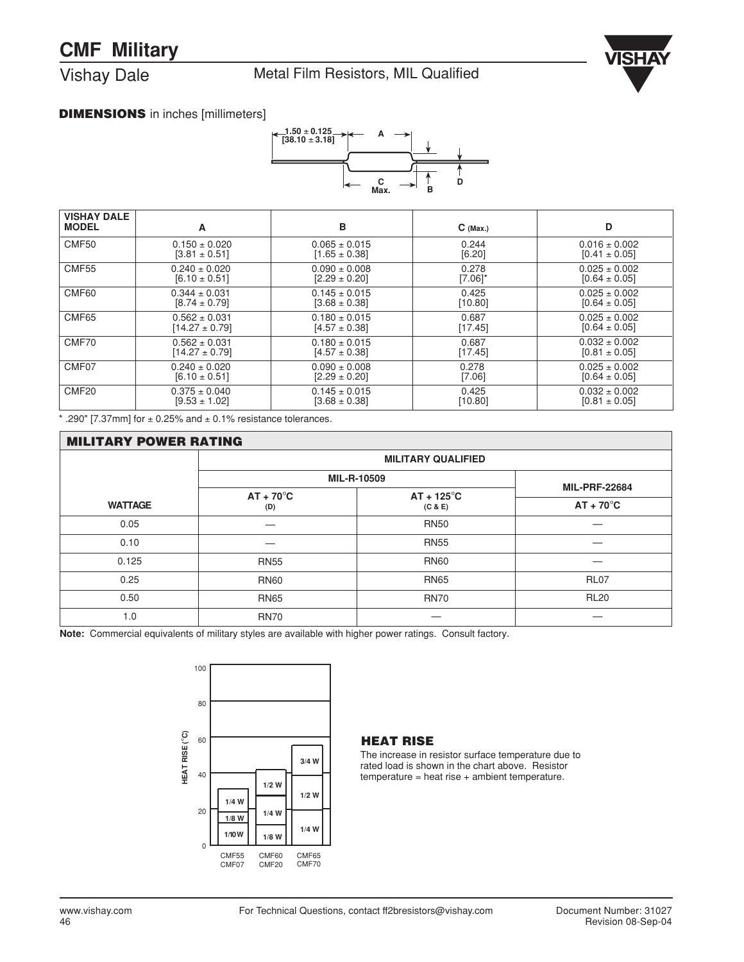# **CMF Military**

Vishay Dale

Metal Film Resistors, MIL Qualified



### **DIMENSIONS** in inches [millimeters]



| <b>VISHAY DALE</b><br><b>MODEL</b> | A                  | в                 | $C$ (Max.) | D                 |
|------------------------------------|--------------------|-------------------|------------|-------------------|
| CMF50                              | $0.150 \pm 0.020$  | $0.065 \pm 0.015$ | 0.244      | $0.016 \pm 0.002$ |
|                                    | $[3.81 \pm 0.51]$  | $[1.65 \pm 0.38]$ | [6.20]     | $[0.41 \pm 0.05]$ |
| <b>CMF55</b>                       | $0.240 \pm 0.020$  | $0.090 \pm 0.008$ | 0.278      | $0.025 \pm 0.002$ |
|                                    | $[6.10 \pm 0.51]$  | $[2.29 \pm 0.20]$ | [7.06]*    | $[0.64 \pm 0.05]$ |
| CMF60                              | $0.344 \pm 0.031$  | $0.145 \pm 0.015$ | 0.425      | $0.025 \pm 0.002$ |
|                                    | $[8.74 \pm 0.79]$  | $[3.68 \pm 0.38]$ | [10.80]    | $[0.64 \pm 0.05]$ |
| CMF65                              | $0.562 \pm 0.031$  | $0.180 \pm 0.015$ | 0.687      | $0.025 \pm 0.002$ |
|                                    | $[14.27 \pm 0.79]$ | $[4.57 \pm 0.38]$ | [17.45]    | $[0.64 \pm 0.05]$ |
| CMF70                              | $0.562 \pm 0.031$  | $0.180 \pm 0.015$ | 0.687      | $0.032 \pm 0.002$ |
|                                    | $[14.27 \pm 0.79]$ | $[4.57 \pm 0.38]$ | [17.45]    | $[0.81 \pm 0.05]$ |
| CMF07                              | $0.240 \pm 0.020$  | $0.090 \pm 0.008$ | 0.278      | $0.025 \pm 0.002$ |
|                                    | $[6.10 \pm 0.51]$  | $[2.29 \pm 0.20]$ | [7.06]     | $[0.64 \pm 0.05]$ |
| CMF <sub>20</sub>                  | $0.375 \pm 0.040$  | $0.145 \pm 0.015$ | 0.425      | $0.032 \pm 0.002$ |
|                                    | $[9.53 \pm 1.02]$  | $[3.68 \pm 0.38]$ | [10.80]    | $[0.81 \pm 0.05]$ |

 $*$  .290" [7.37mm] for  $\pm$  0.25% and  $\pm$  0.1% resistance tolerances.

| <b>MILITARY POWER RATING</b> |                           |                                |                    |  |  |  |  |
|------------------------------|---------------------------|--------------------------------|--------------------|--|--|--|--|
|                              | <b>MILITARY QUALIFIED</b> |                                |                    |  |  |  |  |
|                              | MIL-R-10509               | <b>MIL-PRF-22684</b>           |                    |  |  |  |  |
| <b>WATTAGE</b>               | $AT + 70^{\circ}C$<br>(D) | $AT + 125^{\circ}C$<br>(C & E) | $AT + 70^{\circ}C$ |  |  |  |  |
| 0.05                         |                           | <b>RN50</b>                    |                    |  |  |  |  |
| 0.10                         |                           | <b>RN55</b>                    |                    |  |  |  |  |
| 0.125                        | <b>RN55</b>               | <b>RN60</b>                    |                    |  |  |  |  |
| 0.25                         | <b>RN60</b>               | <b>RN65</b>                    | <b>RL07</b>        |  |  |  |  |
| 0.50                         | <b>RN65</b>               | <b>RN70</b>                    | <b>RL20</b>        |  |  |  |  |
| 1.0                          | <b>RN70</b>               |                                |                    |  |  |  |  |

**Note:** Commercial equivalents of military styles are available with higher power ratings. Consult factory.



#### **HEAT RISE**

The increase in resistor surface temperature due to rated load is shown in the chart above. Resistor  $temperature = heat rise + ambient temperature.$